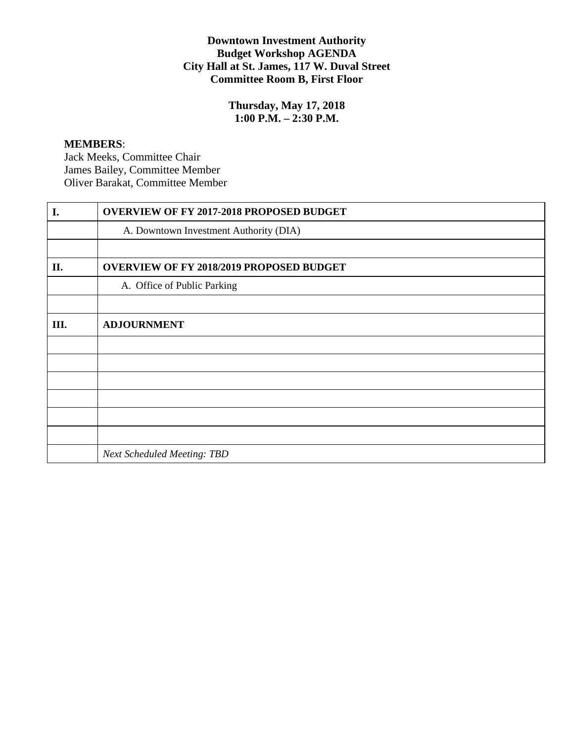# **Downtown Investment Authority Budget Workshop AGENDA City Hall at St. James, 117 W. Duval Street Committee Room B, First Floor**

**Thursday, May 17, 2018 1:00 P.M. – 2:30 P.M.**

#### **MEMBERS**:

Jack Meeks, Committee Chair James Bailey, Committee Member Oliver Barakat, Committee Member

| I.  | <b>OVERVIEW OF FY 2017-2018 PROPOSED BUDGET</b> |
|-----|-------------------------------------------------|
|     | A. Downtown Investment Authority (DIA)          |
|     |                                                 |
| II. | <b>OVERVIEW OF FY 2018/2019 PROPOSED BUDGET</b> |
|     | A. Office of Public Parking                     |
|     |                                                 |
| Ш.  | <b>ADJOURNMENT</b>                              |
|     |                                                 |
|     |                                                 |
|     |                                                 |
|     |                                                 |
|     |                                                 |
|     |                                                 |
|     | <b>Next Scheduled Meeting: TBD</b>              |